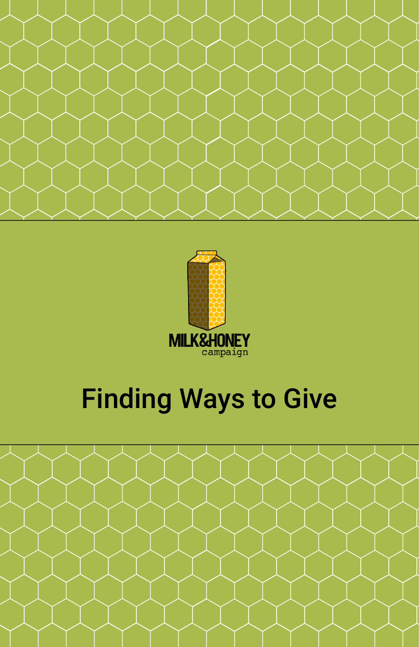



# Finding Ways to Give

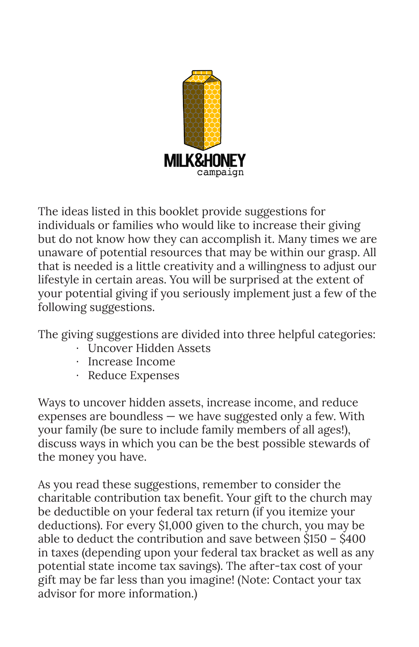

The ideas listed in this booklet provide suggestions for individuals or families who would like to increase their giving but do not know how they can accomplish it. Many times we are unaware of potential resources that may be within our grasp. All that is needed is a little creativity and a willingness to adjust our lifestyle in certain areas. You will be surprised at the extent of your potential giving if you seriously implement just a few of the following suggestions.

The giving suggestions are divided into three helpful categories:

- · Uncover Hidden Assets
- · Increase Income
- · Reduce Expenses

Ways to uncover hidden assets, increase income, and reduce expenses are boundless  $-$  we have suggested only a few. With your family (be sure to include family members of all ages!), discuss ways in which you can be the best possible stewards of the money you have.

As you read these suggestions, remember to consider the charitable contribution tax benefit. Your gift to the church may be deductible on your federal tax return (if you itemize your deductions). For every \$1,000 given to the church, you may be able to deduct the contribution and save between \$150 – \$400 in taxes (depending upon your federal tax bracket as well as any potential state income tax savings). The after-tax cost of your gift may be far less than you imagine! (Note: Contact your tax advisor for more information.)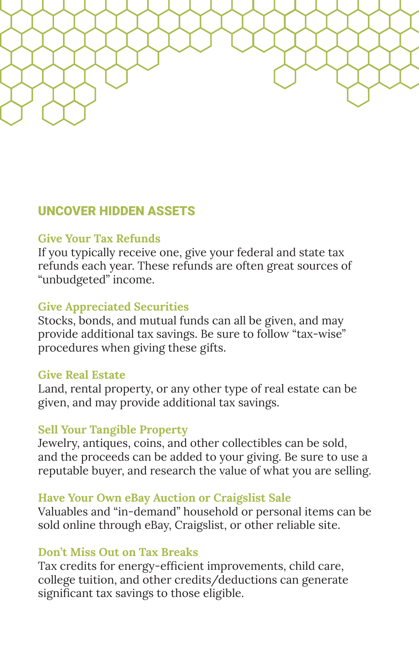

## UNCOVER HIDDEN ASSETS

## **Give Your Tax Refunds**

If you typically receive one, give your federal and state tax refunds each year. These refunds are often great sources of "unbudgeted" income.

## **Give Appreciated Securities**

Stocks, bonds, and mutual funds can all be given, and may provide additional tax savings. Be sure to follow "tax-wise" procedures when giving these gifts.

#### **Give Real Estate**

Land, rental property, or any other type of real estate can be given, and may provide additional tax savings.

#### **Sell Your Tangible Property**

Jewelry, antiques, coins, and other collectibles can be sold, and the proceeds can be added to your giving. Be sure to use a reputable buyer, and research the value of what you are selling.

#### **Have Your Own eBay Auction or Craigslist Sale**

Valuables and "in-demand" household or personal items can be sold online through eBay, Craigslist, or other reliable site.

#### **Don't Miss Out on Tax Breaks**

Tax credits for energy-efficient improvements, child care, college tuition, and other credits/deductions can generate significant tax savings to those eligible.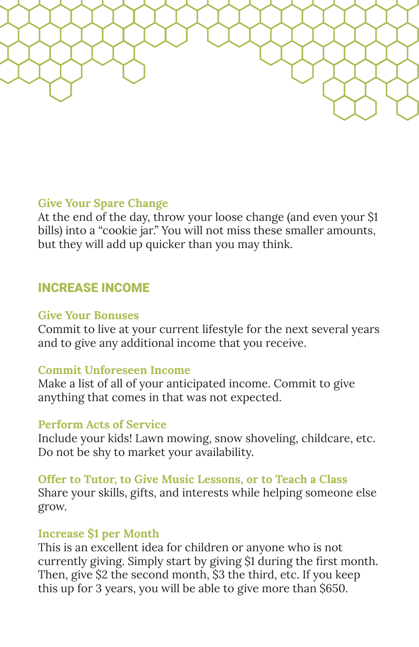

## **Give Your Spare Change**

At the end of the day, throw your loose change (and even your \$1 bills) into a "cookie jar." You will not miss these smaller amounts, but they will add up quicker than you may think.

## INCREASE INCOME

#### **Give Your Bonuses**

Commit to live at your current lifestyle for the next several years and to give any additional income that you receive.

#### **Commit Unforeseen Income**

Make a list of all of your anticipated income. Commit to give anything that comes in that was not expected.

#### **Perform Acts of Service**

Include your kids! Lawn mowing, snow shoveling, childcare, etc. Do not be shy to market your availability.

#### **Offer to Tutor, to Give Music Lessons, or to Teach a Class**

Share your skills, gifts, and interests while helping someone else grow.

#### **Increase \$1 per Month**

This is an excellent idea for children or anyone who is not currently giving. Simply start by giving \$1 during the first month. Then, give \$2 the second month, \$3 the third, etc. If you keep this up for 3 years, you will be able to give more than \$650.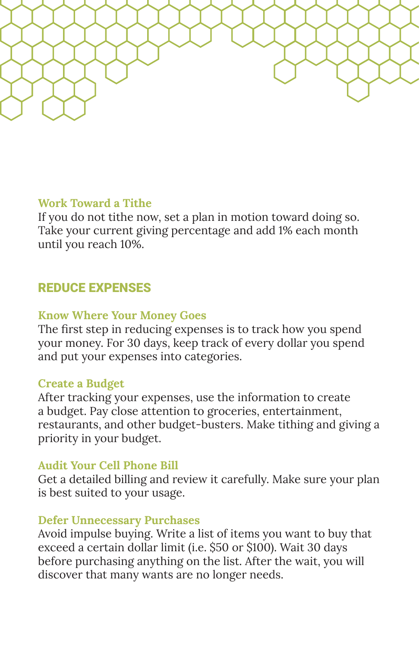

## **Work Toward a Tithe**

If you do not tithe now, set a plan in motion toward doing so. Take your current giving percentage and add 1% each month until you reach 10%.

## REDUCE EXPENSES

#### **Know Where Your Money Goes**

The first step in reducing expenses is to track how you spend your money. For 30 days, keep track of every dollar you spend and put your expenses into categories.

#### **Create a Budget**

After tracking your expenses, use the information to create a budget. Pay close attention to groceries, entertainment, restaurants, and other budget-busters. Make tithing and giving a priority in your budget.

#### **Audit Your Cell Phone Bill**

Get a detailed billing and review it carefully. Make sure your plan is best suited to your usage.

#### **Defer Unnecessary Purchases**

Avoid impulse buying. Write a list of items you want to buy that exceed a certain dollar limit (i.e. \$50 or \$100). Wait 30 days before purchasing anything on the list. After the wait, you will discover that many wants are no longer needs.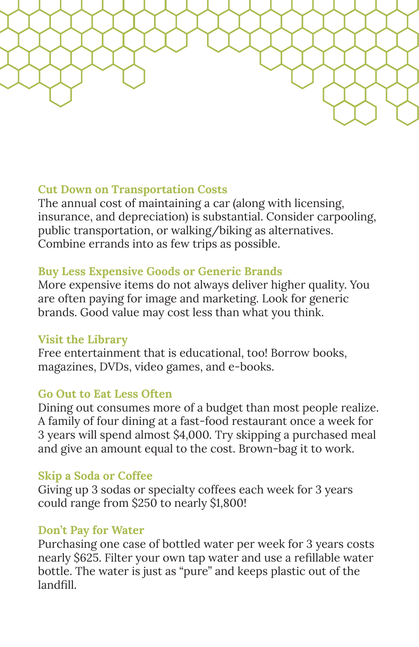

## **Cut Down on Transportation Costs**

The annual cost of maintaining a car (along with licensing, insurance, and depreciation) is substantial. Consider carpooling, public transportation, or walking/biking as alternatives. Combine errands into as few trips as possible.

## **Buy Less Expensive Goods or Generic Brands**

More expensive items do not always deliver higher quality. You are often paying for image and marketing. Look for generic brands. Good value may cost less than what you think.

#### **Visit the Library**

Free entertainment that is educational, too! Borrow books, magazines, DVDs, video games, and e-books.

#### **Go Out to Eat Less Often**

Dining out consumes more of a budget than most people realize. A family of four dining at a fast-food restaurant once a week for 3 years will spend almost \$4,000. Try skipping a purchased meal and give an amount equal to the cost. Brown-bag it to work.

## **Skip a Soda or Coffee**

Giving up 3 sodas or specialty coffees each week for 3 years could range from \$250 to nearly \$1,800!

## **Don't Pay for Water**

Purchasing one case of bottled water per week for 3 years costs nearly \$625. Filter your own tap water and use a refillable water bottle. The water is just as "pure" and keeps plastic out of the landfill.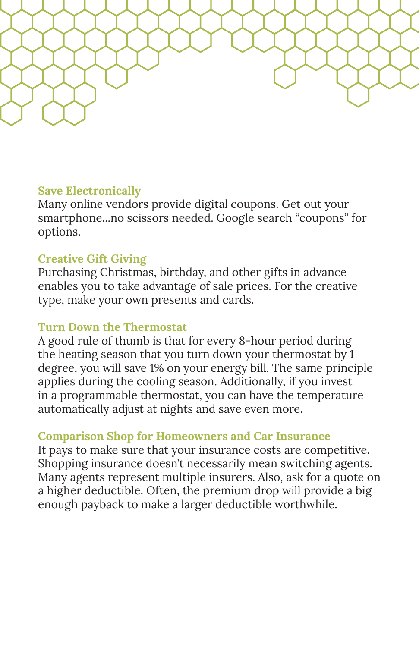

## **Save Electronically**

Many online vendors provide digital coupons. Get out your smartphone...no scissors needed. Google search "coupons" for options.

#### **Creative Gift Giving**

Purchasing Christmas, birthday, and other gifts in advance enables you to take advantage of sale prices. For the creative type, make your own presents and cards.

#### **Turn Down the Thermostat**

A good rule of thumb is that for every 8-hour period during the heating season that you turn down your thermostat by 1 degree, you will save 1% on your energy bill. The same principle applies during the cooling season. Additionally, if you invest in a programmable thermostat, you can have the temperature automatically adjust at nights and save even more.

#### **Comparison Shop for Homeowners and Car Insurance**

It pays to make sure that your insurance costs are competitive. Shopping insurance doesn't necessarily mean switching agents. Many agents represent multiple insurers. Also, ask for a quote on a higher deductible. Often, the premium drop will provide a big enough payback to make a larger deductible worthwhile.